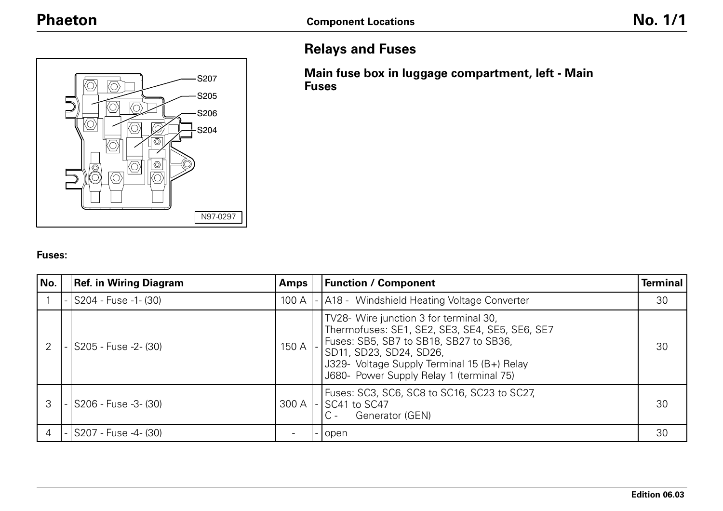

# **Relays and Fuses**

**Main fuse box in luggage compartment, left - Main Fuses**

#### **Fuses:**

| No. | <b>Ref. in Wiring Diagram</b> | <b>Amps</b> | <b>Function / Component</b>                                                                                                                                                                                                                              | <b>Terminal</b> |
|-----|-------------------------------|-------------|----------------------------------------------------------------------------------------------------------------------------------------------------------------------------------------------------------------------------------------------------------|-----------------|
|     | $-$ S204 - Fuse -1- $(30)$    | 100 A       | - A18 - Windshield Heating Voltage Converter                                                                                                                                                                                                             | 30              |
|     | -   S205 - Fuse -2- (30)      | 150 A       | TV28- Wire junction 3 for terminal 30,<br>Thermofuses: SE1, SE2, SE3, SE4, SE5, SE6, SE7<br>Fuses: SB5, SB7 to SB18, SB27 to SB36,<br>SD11, SD23, SD24, SD26,<br>J329- Voltage Supply Terminal 15 (B+) Relay<br>J680- Power Supply Relay 1 (terminal 75) | 30              |
|     | -   S206 - Fuse -3- (30)      | 300 A       | Fuses: SC3, SC6, SC8 to SC16, SC23 to SC27,<br>SC41 to SC47<br>$C -$<br>Generator (GEN)                                                                                                                                                                  | 30              |
|     | - S207 - Fuse -4- (30)        |             | open                                                                                                                                                                                                                                                     | 30              |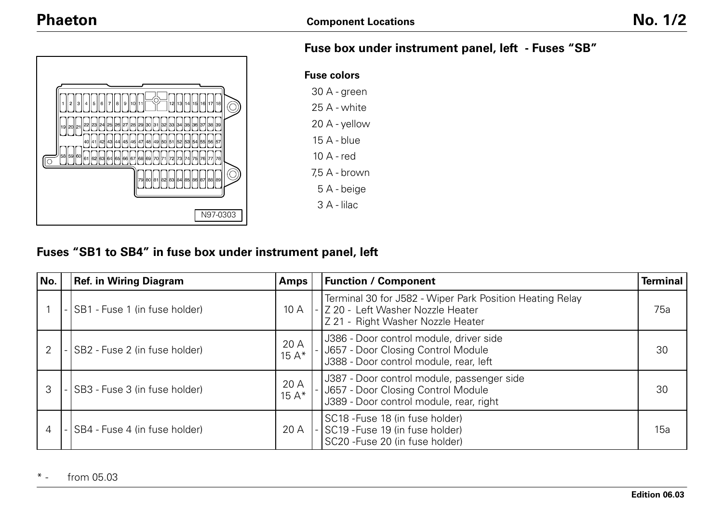

# **Fuse box under instrument panel, left - Fuses "SB"**

| <b>Fuse colors</b> |
|--------------------|
| 30 A - green       |
| 25 A - white       |
| 20 A - yellow      |
| 15 A - blue        |
| $10A - red$        |
| 7.5 A - brown      |
| 5 A - beige        |
| 3 A - lilac        |

# **Fuses "SB1 to SB4" in fuse box under instrument panel, left**

| No. | <b>Ref. in Wiring Diagram</b> | <b>Amps</b>    | <b>Function / Component</b>                                                                                                       | <b>Terminal</b> |
|-----|-------------------------------|----------------|-----------------------------------------------------------------------------------------------------------------------------------|-----------------|
|     | SB1 - Fuse 1 (in fuse holder) | 10A            | Terminal 30 for J582 - Wiper Park Position Heating Relay<br>Z 20 - Left Washer Nozzle Heater<br>Z 21 - Right Washer Nozzle Heater | 75a             |
|     | SB2 - Fuse 2 (in fuse holder) | 20 A<br>$15A*$ | J386 - Door control module, driver side<br>J657 - Door Closing Control Module<br>J388 - Door control module, rear, left           | 30              |
|     | SB3 - Fuse 3 (in fuse holder) | 20 A<br>$15A*$ | J387 - Door control module, passenger side<br>J657 - Door Closing Control Module<br>J389 - Door control module, rear, right       | 30              |
| 4   | SB4 - Fuse 4 (in fuse holder) | 20 A           | SC18 - Fuse 18 (in fuse holder)<br>SC19 - Fuse 19 (in fuse holder)<br>SC20 - Fuse 20 (in fuse holder)                             | 15a             |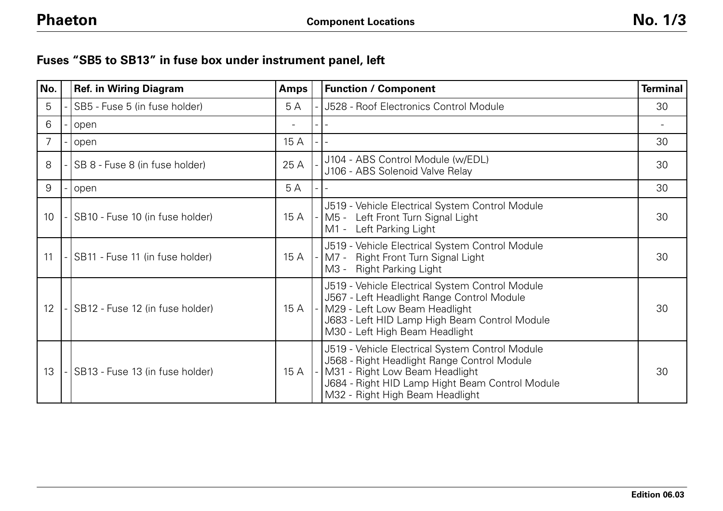# **Fuses "SB5 to SB13" in fuse box under instrument panel, left**

| No.             | <b>Ref. in Wiring Diagram</b>   | <b>Amps</b> | <b>Function / Component</b>                                                                                                                                                                                            | <b>Terminal</b> |
|-----------------|---------------------------------|-------------|------------------------------------------------------------------------------------------------------------------------------------------------------------------------------------------------------------------------|-----------------|
| 5               | SB5 - Fuse 5 (in fuse holder)   | 5A          | <b>J528 - Roof Electronics Control Module</b>                                                                                                                                                                          | 30              |
| 6               | open                            |             |                                                                                                                                                                                                                        |                 |
| 7               | open                            | 15 A        |                                                                                                                                                                                                                        | 30              |
| 8               | SB 8 - Fuse 8 (in fuse holder)  | 25 A        | J104 - ABS Control Module (w/EDL)<br>J106 - ABS Solenoid Valve Relay                                                                                                                                                   | 30              |
| 9               | open                            | 5A          |                                                                                                                                                                                                                        | 30              |
| 10 <sup>°</sup> | SB10 - Fuse 10 (in fuse holder) | 15 A        | J519 - Vehicle Electrical System Control Module<br>M5 - Left Front Turn Signal Light<br>M1 -<br>Left Parking Light                                                                                                     | 30              |
| 11              | SB11 - Fuse 11 (in fuse holder) | 15 A        | J519 - Vehicle Electrical System Control Module<br>M7 - Right Front Turn Signal Light<br>M3 - Right Parking Light                                                                                                      | 30              |
| 12              | SB12 - Fuse 12 (in fuse holder) | 15 A        | J519 - Vehicle Electrical System Control Module<br>J567 - Left Headlight Range Control Module<br>M29 - Left Low Beam Headlight<br>J683 - Left HID Lamp High Beam Control Module<br>M30 - Left High Beam Headlight      | 30              |
| 13              | SB13 - Fuse 13 (in fuse holder) | 15 A        | J519 - Vehicle Electrical System Control Module<br>J568 - Right Headlight Range Control Module<br>M31 - Right Low Beam Headlight<br>J684 - Right HID Lamp Hight Beam Control Module<br>M32 - Right High Beam Headlight | 30              |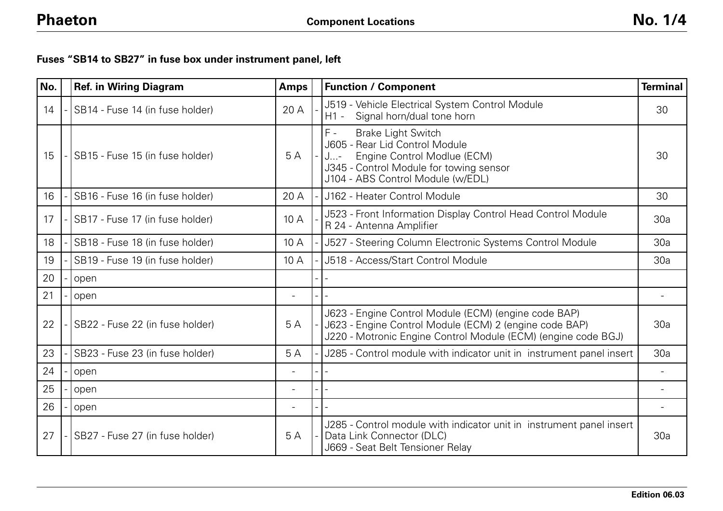## **Fuses "SB14 to SB27" in fuse box under instrument panel, left**

| No. | <b>Ref. in Wiring Diagram</b>   | <b>Amps</b>              | <b>Function / Component</b>                                                                                                                                                                | <b>Terminal</b>          |
|-----|---------------------------------|--------------------------|--------------------------------------------------------------------------------------------------------------------------------------------------------------------------------------------|--------------------------|
| 14  | SB14 - Fuse 14 (in fuse holder) | 20 A                     | J519 - Vehicle Electrical System Control Module<br>$H1 -$<br>Signal horn/dual tone horn                                                                                                    | 30                       |
| 15  | SB15 - Fuse 15 (in fuse holder) | 5A                       | $F -$<br><b>Brake Light Switch</b><br>J605 - Rear Lid Control Module<br>Engine Control Modlue (ECM)<br>J…-<br>J345 - Control Module for towing sensor<br>J104 - ABS Control Module (w/EDL) | 30                       |
| 16  | SB16 - Fuse 16 (in fuse holder) | 20 A                     | J162 - Heater Control Module                                                                                                                                                               | 30                       |
| 17  | SB17 - Fuse 17 (in fuse holder) | 10 A                     | J523 - Front Information Display Control Head Control Module<br>R 24 - Antenna Amplifier                                                                                                   | 30a                      |
| 18  | SB18 - Fuse 18 (in fuse holder) | 10 A                     | J527 - Steering Column Electronic Systems Control Module                                                                                                                                   | 30a                      |
| 19  | SB19 - Fuse 19 (in fuse holder) | 10 A                     | J518 - Access/Start Control Module                                                                                                                                                         | 30a                      |
| 20  | open                            |                          |                                                                                                                                                                                            |                          |
| 21  | open                            |                          |                                                                                                                                                                                            | $\overline{\phantom{0}}$ |
| 22  | SB22 - Fuse 22 (in fuse holder) | 5A                       | J623 - Engine Control Module (ECM) (engine code BAP)<br>J623 - Engine Control Module (ECM) 2 (engine code BAP)<br>J220 - Motronic Engine Control Module (ECM) (engine code BGJ)            | 30a                      |
| 23  | SB23 - Fuse 23 (in fuse holder) | 5A                       | J285 - Control module with indicator unit in instrument panel insert                                                                                                                       | 30a                      |
| 24  | open                            |                          |                                                                                                                                                                                            |                          |
| 25  | open                            | $\overline{\phantom{a}}$ |                                                                                                                                                                                            |                          |
| 26  | open                            |                          |                                                                                                                                                                                            |                          |
| 27  | SB27 - Fuse 27 (in fuse holder) | 5A                       | J285 - Control module with indicator unit in instrument panel insert<br>Data Link Connector (DLC)<br>J669 - Seat Belt Tensioner Relay                                                      | 30a                      |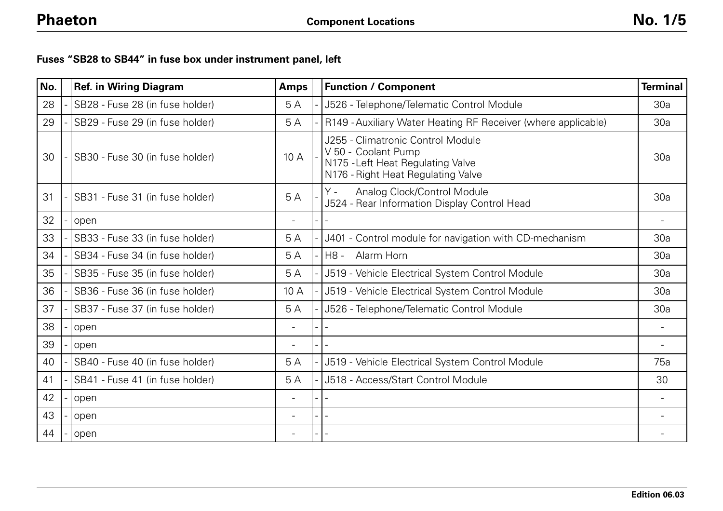## **Fuses "SB28 to SB44" in fuse box under instrument panel, left**

| No. | <b>Ref. in Wiring Diagram</b>   | <b>Amps</b>              | <b>Function / Component</b>                                                                                                         | <b>Terminal</b>          |
|-----|---------------------------------|--------------------------|-------------------------------------------------------------------------------------------------------------------------------------|--------------------------|
| 28  | SB28 - Fuse 28 (in fuse holder) | 5A                       | J526 - Telephone/Telematic Control Module                                                                                           | 30a                      |
| 29  | SB29 - Fuse 29 (in fuse holder) | 5A                       | R149 - Auxiliary Water Heating RF Receiver (where applicable)                                                                       | 30a                      |
| 30  | SB30 - Fuse 30 (in fuse holder) | 10 A                     | J255 - Climatronic Control Module<br>V 50 - Coolant Pump<br>N175 - Left Heat Regulating Valve<br>N176 - Right Heat Regulating Valve | 30a                      |
| 31  | SB31 - Fuse 31 (in fuse holder) | 5A                       | Υ -<br>Analog Clock/Control Module<br>J524 - Rear Information Display Control Head                                                  | 30a                      |
| 32  | open                            | $\overline{\phantom{0}}$ |                                                                                                                                     | $\overline{\phantom{a}}$ |
| 33  | SB33 - Fuse 33 (in fuse holder) | 5A                       | J401 - Control module for navigation with CD-mechanism                                                                              | 30a                      |
| 34  | SB34 - Fuse 34 (in fuse holder) | 5 A                      | H8 -<br>Alarm Horn                                                                                                                  | 30a                      |
| 35  | SB35 - Fuse 35 (in fuse holder) | 5A                       | J519 - Vehicle Electrical System Control Module                                                                                     | 30a                      |
| 36  | SB36 - Fuse 36 (in fuse holder) | 10A                      | J519 - Vehicle Electrical System Control Module                                                                                     | 30a                      |
| 37  | SB37 - Fuse 37 (in fuse holder) | 5A                       | J526 - Telephone/Telematic Control Module                                                                                           | 30a                      |
| 38  | open                            | $\overline{a}$           |                                                                                                                                     |                          |
| 39  | open                            |                          |                                                                                                                                     |                          |
| 40  | SB40 - Fuse 40 (in fuse holder) | 5A                       | J519 - Vehicle Electrical System Control Module                                                                                     | 75a                      |
| 41  | SB41 - Fuse 41 (in fuse holder) | 5A                       | J518 - Access/Start Control Module                                                                                                  | 30                       |
| 42  | open                            | $\overline{\phantom{0}}$ |                                                                                                                                     |                          |
| 43  | open                            | $\qquad \qquad -$        |                                                                                                                                     |                          |
| 44  | open                            | $\overline{\phantom{0}}$ |                                                                                                                                     |                          |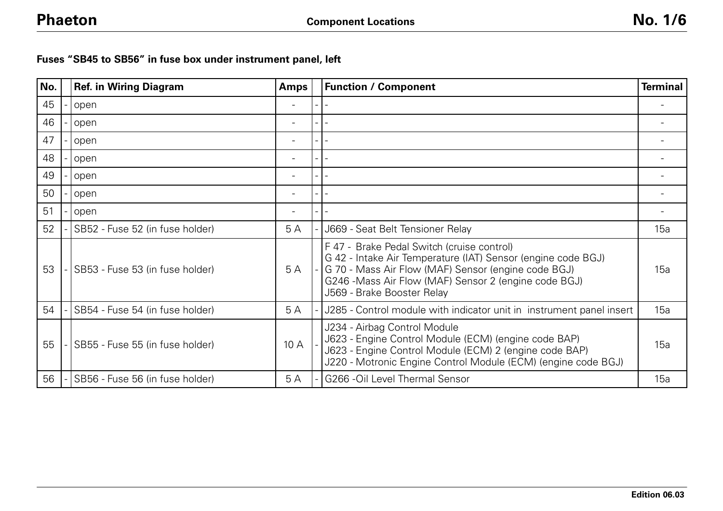**Fuses "SB45 to SB56" in fuse box under instrument panel, left**

| No. | <b>Ref. in Wiring Diagram</b>   | <b>Amps</b> | <b>Function / Component</b>                                                                                                                                                                                                                              | <b>Terminal</b> |
|-----|---------------------------------|-------------|----------------------------------------------------------------------------------------------------------------------------------------------------------------------------------------------------------------------------------------------------------|-----------------|
| 45  | open                            |             |                                                                                                                                                                                                                                                          |                 |
| 46  | open                            |             |                                                                                                                                                                                                                                                          |                 |
| 47  | open                            |             |                                                                                                                                                                                                                                                          |                 |
| 48  | open                            |             |                                                                                                                                                                                                                                                          |                 |
| 49  | open                            |             |                                                                                                                                                                                                                                                          |                 |
| 50  | open                            |             |                                                                                                                                                                                                                                                          |                 |
| 51  | open                            |             |                                                                                                                                                                                                                                                          |                 |
| 52  | SB52 - Fuse 52 (in fuse holder) | 5 A         | J669 - Seat Belt Tensioner Relay                                                                                                                                                                                                                         | 15a             |
| 53  | SB53 - Fuse 53 (in fuse holder) | 5 A         | F 47 - Brake Pedal Switch (cruise control)<br>G 42 - Intake Air Temperature (IAT) Sensor (engine code BGJ)<br>G 70 - Mass Air Flow (MAF) Sensor (engine code BGJ)<br>G246 - Mass Air Flow (MAF) Sensor 2 (engine code BGJ)<br>J569 - Brake Booster Relay | 15a             |
| 54  | SB54 - Fuse 54 (in fuse holder) | 5A          | J285 - Control module with indicator unit in instrument panel insert                                                                                                                                                                                     | 15a             |
| 55  | SB55 - Fuse 55 (in fuse holder) | 10 A        | J234 - Airbag Control Module<br>J623 - Engine Control Module (ECM) (engine code BAP)<br>J623 - Engine Control Module (ECM) 2 (engine code BAP)<br>J220 - Motronic Engine Control Module (ECM) (engine code BGJ)                                          | 15a             |
| 56  | SB56 - Fuse 56 (in fuse holder) | 5A          | G266 - Oil Level Thermal Sensor                                                                                                                                                                                                                          | 15a             |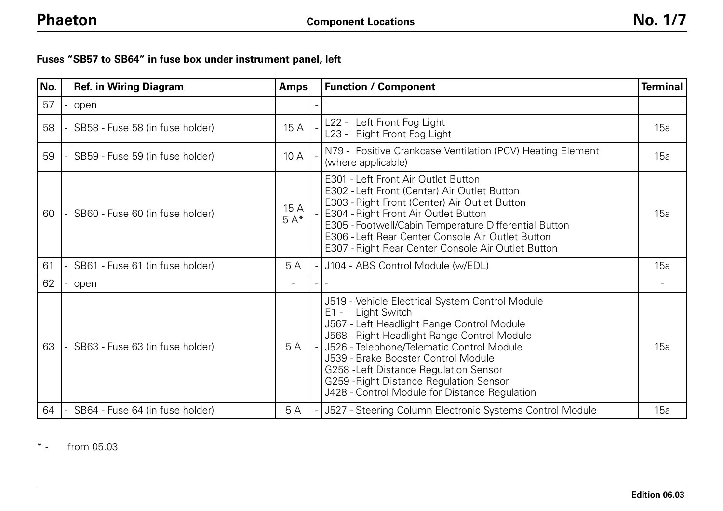|  |  |  |  |  | Fuses "SB57 to SB64" in fuse box under instrument panel, left |  |
|--|--|--|--|--|---------------------------------------------------------------|--|
|--|--|--|--|--|---------------------------------------------------------------|--|

| No. | <b>Ref. in Wiring Diagram</b>   | <b>Amps</b>   | <b>Function / Component</b>                                                                                                                                                                                                                                                                                                                                                                      | <b>Terminal</b> |
|-----|---------------------------------|---------------|--------------------------------------------------------------------------------------------------------------------------------------------------------------------------------------------------------------------------------------------------------------------------------------------------------------------------------------------------------------------------------------------------|-----------------|
| 57  | open                            |               |                                                                                                                                                                                                                                                                                                                                                                                                  |                 |
| 58  | SB58 - Fuse 58 (in fuse holder) | 15 A          | L22 - Left Front Fog Light<br>L23 - Right Front Fog Light                                                                                                                                                                                                                                                                                                                                        | 15a             |
| 59  | SB59 - Fuse 59 (in fuse holder) | 10 A          | N79 - Positive Crankcase Ventilation (PCV) Heating Element<br>(where applicable)                                                                                                                                                                                                                                                                                                                 | 15a             |
| 60  | SB60 - Fuse 60 (in fuse holder) | 15 A<br>$5A*$ | E301 - Left Front Air Outlet Button<br>E302 - Left Front (Center) Air Outlet Button<br>E303 - Right Front (Center) Air Outlet Button<br>E304 - Right Front Air Outlet Button<br>E305 - Footwell/Cabin Temperature Differential Button<br>E306 - Left Rear Center Console Air Outlet Button<br>E307 - Right Rear Center Console Air Outlet Button                                                 | 15a             |
| 61  | SB61 - Fuse 61 (in fuse holder) | 5 A           | J104 - ABS Control Module (w/EDL)                                                                                                                                                                                                                                                                                                                                                                | 15a             |
| 62  | open                            |               |                                                                                                                                                                                                                                                                                                                                                                                                  |                 |
| 63  | SB63 - Fuse 63 (in fuse holder) | 5 A           | J519 - Vehicle Electrical System Control Module<br>$E1 -$<br>Light Switch<br>J567 - Left Headlight Range Control Module<br>J568 - Right Headlight Range Control Module<br>J526 - Telephone/Telematic Control Module<br>J539 - Brake Booster Control Module<br>G258 - Left Distance Regulation Sensor<br>G259 - Right Distance Regulation Sensor<br>J428 - Control Module for Distance Regulation | 15a             |
| 64  | SB64 - Fuse 64 (in fuse holder) | 5 A           | J527 - Steering Column Electronic Systems Control Module                                                                                                                                                                                                                                                                                                                                         | 15a             |

 $*$ from 05.03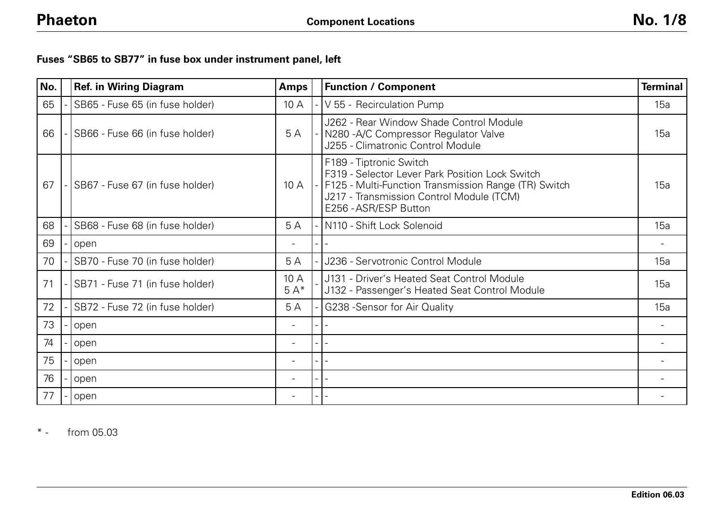## **Fuses "SB65 to SB77" in fuse box under instrument panel, left**

| No. | <b>Ref. in Wiring Diagram</b>   | <b>Amps</b>   | <b>Function / Component</b>                                                                                                                                                                             | <b>Terminal</b> |
|-----|---------------------------------|---------------|---------------------------------------------------------------------------------------------------------------------------------------------------------------------------------------------------------|-----------------|
| 65  | SB65 - Fuse 65 (in fuse holder) | 10 A          | V 55 - Recirculation Pump                                                                                                                                                                               | 15a             |
| 66  | SB66 - Fuse 66 (in fuse holder) | 5A            | J262 - Rear Window Shade Control Module<br>N280-A/C Compressor Regulator Valve<br>J255 - Climatronic Control Module                                                                                     | 15a             |
| 67  | SB67 - Fuse 67 (in fuse holder) | 10A           | F189 - Tiptronic Switch<br>F319 - Selector Lever Park Position Lock Switch<br>F125 - Multi-Function Transmission Range (TR) Switch<br>J217 - Transmission Control Module (TCM)<br>E256 - ASR/ESP Button | 15a             |
| 68  | SB68 - Fuse 68 (in fuse holder) | 5 A           | N110 - Shift Lock Solenoid                                                                                                                                                                              | 15a             |
| 69  | open                            |               |                                                                                                                                                                                                         |                 |
| 70  | SB70 - Fuse 70 (in fuse holder) | 5A            | J236 - Servotronic Control Module                                                                                                                                                                       | 15a             |
| 71  | SB71 - Fuse 71 (in fuse holder) | 10 A<br>$5A*$ | J131 - Driver's Heated Seat Control Module<br>J132 - Passenger's Heated Seat Control Module                                                                                                             | 15a             |
| 72  | SB72 - Fuse 72 (in fuse holder) | 5 A           | G238 - Sensor for Air Quality                                                                                                                                                                           | 15a             |
| 73  | open                            |               |                                                                                                                                                                                                         |                 |
| 74  | open                            |               |                                                                                                                                                                                                         |                 |
| 75  | open                            |               |                                                                                                                                                                                                         |                 |
| 76  | open                            |               |                                                                                                                                                                                                         |                 |
| 77  | open                            |               |                                                                                                                                                                                                         |                 |

 $*$   $$ from 05.03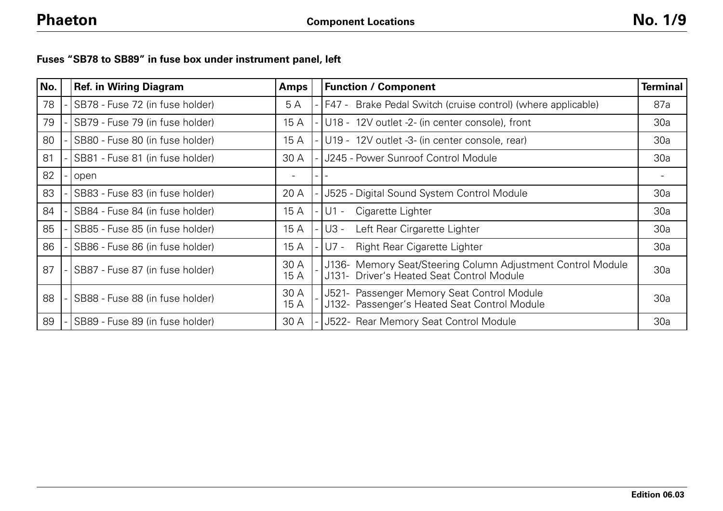|  |  |  |  |  | Fuses "SB78 to SB89" in fuse box under instrument panel, left |  |
|--|--|--|--|--|---------------------------------------------------------------|--|
|--|--|--|--|--|---------------------------------------------------------------|--|

| No. | <b>Ref. in Wiring Diagram</b>   | <b>Amps</b>  | <b>Function / Component</b>                                                                              | <b>Terminal</b> |
|-----|---------------------------------|--------------|----------------------------------------------------------------------------------------------------------|-----------------|
| 78  | SB78 - Fuse 72 (in fuse holder) | 5 A          | Brake Pedal Switch (cruise control) (where applicable)<br>I F47 -                                        | 87a             |
| 79  | SB79 - Fuse 79 (in fuse holder) | 15 A         | U18 - 12V outlet -2- (in center console), front                                                          | 30a             |
| 80  | SB80 - Fuse 80 (in fuse holder) | 15 A         | U19 - 12V outlet -3- (in center console, rear)                                                           | 30a             |
| 81  | SB81 - Fuse 81 (in fuse holder) | 30 A         | J245 - Power Sunroof Control Module                                                                      | 30a             |
| 82  | open                            |              |                                                                                                          |                 |
| 83  | SB83 - Fuse 83 (in fuse holder) | 20 A         | J525 - Digital Sound System Control Module                                                               | 30a             |
| 84  | SB84 - Fuse 84 (in fuse holder) | 15 A         | Cigarette Lighter<br>$U1 -$                                                                              | 30a             |
| 85  | SB85 - Fuse 85 (in fuse holder) | 15 A         | Left Rear Cirgarette Lighter<br>U3 -                                                                     | 30a             |
| 86  | SB86 - Fuse 86 (in fuse holder) | 15 A         | <b>Right Rear Cigarette Lighter</b><br>U7 -                                                              | 30a             |
| 87  | SB87 - Fuse 87 (in fuse holder) | 30 A<br>15 A | J136- Memory Seat/Steering Column Adjustment Control Module<br>J131- Driver's Heated Seat Control Module | 30a             |
| 88  | SB88 - Fuse 88 (in fuse holder) | 30 A<br>15 A | J521- Passenger Memory Seat Control Module<br>J132- Passenger's Heated Seat Control Module               | 30a             |
| 89  | SB89 - Fuse 89 (in fuse holder) | 30 A         | J522- Rear Memory Seat Control Module                                                                    | 30a             |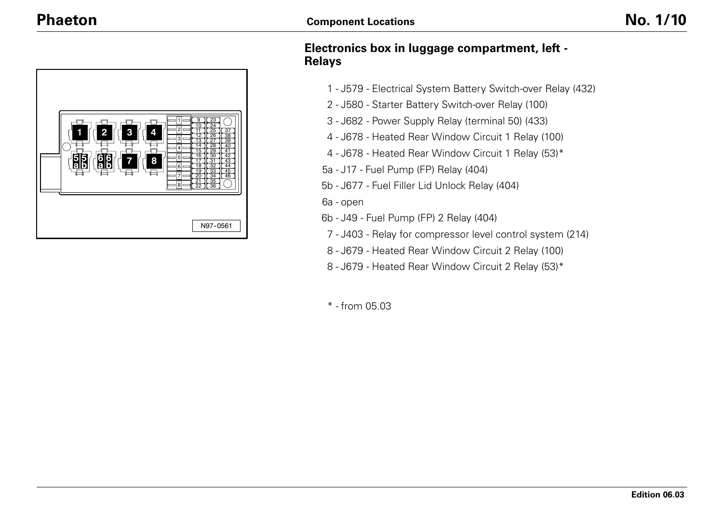

## **Electronics box in luggage compartment, left - Relays**

- J579 Electrical System Battery Switch-over Relay (432)
- J580 Starter Battery Switch-over Relay (100)
- J682 Power Supply Relay (terminal 50) (433)
- J678 Heated Rear Window Circuit 1 Relay (100)
- J678 Heated Rear Window Circuit 1 Relay (53)\*
- 5a J17 Fuel Pump (FP) Relay (404)
- 5b J677 Fuel Filler Lid Unlock Relay (404)
- 6a open
- 6b J49 Fuel Pump (FP) 2 Relay (404)
- J403 Relay for compressor level control system (214)
- J679 Heated Rear Window Circuit 2 Relay (100)
- J679 Heated Rear Window Circuit 2 Relay (53)\*
- \* from 05.03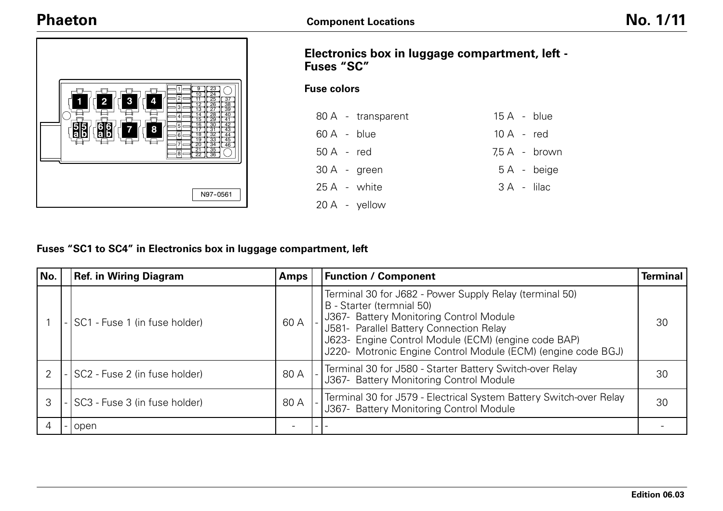# **Phaeton**

 **2**

 **<sup>5</sup> <sup>a</sup> <sup>b</sup>**

**3 4**

**8**

**7 <sup>6</sup> <sup>a</sup> <sup>b</sup>**



#### **Fuse colors**

|                       | 80 A - transparent | $15A - blue$ |                 |
|-----------------------|--------------------|--------------|-----------------|
| $60 \text{ A}$ - blue |                    | $10A - red$  |                 |
| $50A - red$           |                    |              | $7.5 A - brown$ |
| $30 A - green$        |                    |              | 5A - beige      |
| 25 A - white          |                    | 3 A - lilac  |                 |
| 20 A - yellow         |                    |              |                 |

### **Fuses "SC1 to SC4" in Electronics box in luggage compartment, left**

N97--0561

| No. | <b>Ref. in Wiring Diagram</b>   | <b>Amps</b> | <b>Function / Component</b>                                                                                                                                                                                                                                                                       | <b>Terminal</b> |
|-----|---------------------------------|-------------|---------------------------------------------------------------------------------------------------------------------------------------------------------------------------------------------------------------------------------------------------------------------------------------------------|-----------------|
|     | SC1 - Fuse 1 (in fuse holder)   | 60 A        | Terminal 30 for J682 - Power Supply Relay (terminal 50)<br>B - Starter (termnial 50)<br>J367- Battery Monitoring Control Module<br>J581- Parallel Battery Connection Relay<br>J623- Engine Control Module (ECM) (engine code BAP)<br>J220- Motronic Engine Control Module (ECM) (engine code BGJ) | 30              |
|     | - SC2 - Fuse 2 (in fuse holder) | 80 A        | Terminal 30 for J580 - Starter Battery Switch-over Relay<br>J367- Battery Monitoring Control Module                                                                                                                                                                                               | 30              |
|     | - SC3 - Fuse 3 (in fuse holder) | 80 A        | Terminal 30 for J579 - Electrical System Battery Switch-over Relay<br>J367- Battery Monitoring Control Module                                                                                                                                                                                     | 30              |
|     | -lopen                          |             |                                                                                                                                                                                                                                                                                                   |                 |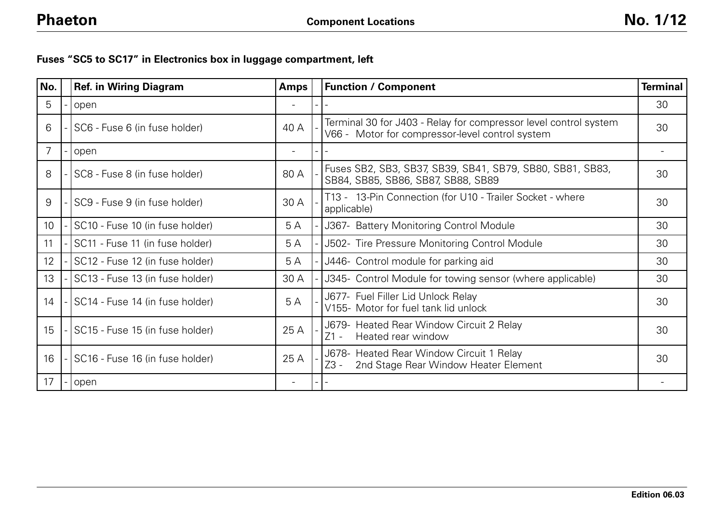| Fuses "SC5 to SC17" in Electronics box in luggage compartment, left |  |  |  |
|---------------------------------------------------------------------|--|--|--|
|---------------------------------------------------------------------|--|--|--|

| No. | <b>Ref. in Wiring Diagram</b>   | <b>Amps</b>              | <b>Function / Component</b>                                                                                         | <b>Terminal</b> |
|-----|---------------------------------|--------------------------|---------------------------------------------------------------------------------------------------------------------|-----------------|
| 5   | open                            | $\overline{\phantom{a}}$ |                                                                                                                     | 30              |
| 6   | SC6 - Fuse 6 (in fuse holder)   | 40 A                     | Terminal 30 for J403 - Relay for compressor level control system<br>V66 - Motor for compressor-level control system | 30              |
| 7   | open                            |                          |                                                                                                                     |                 |
| 8   | SC8 - Fuse 8 (in fuse holder)   | 80 A                     | Fuses SB2, SB3, SB37, SB39, SB41, SB79, SB80, SB81, SB83,<br>SB84, SB85, SB86, SB87, SB88, SB89                     | 30              |
| 9   | SC9 - Fuse 9 (in fuse holder)   | 30 A                     | T13 - 13-Pin Connection (for U10 - Trailer Socket - where<br>applicable)                                            | 30              |
| 10  | SC10 - Fuse 10 (in fuse holder) | 5A                       | J367- Battery Monitoring Control Module                                                                             | 30              |
| 11  | SC11 - Fuse 11 (in fuse holder) | 5 A                      | J502- Tire Pressure Monitoring Control Module                                                                       | 30              |
| 12  | SC12 - Fuse 12 (in fuse holder) | 5 A                      | J446- Control module for parking aid                                                                                | 30              |
| 13  | SC13 - Fuse 13 (in fuse holder) | 30 A                     | J345- Control Module for towing sensor (where applicable)                                                           | 30              |
| 14  | SC14 - Fuse 14 (in fuse holder) | 5A                       | J677- Fuel Filler Lid Unlock Relay<br>V155- Motor for fuel tank lid unlock                                          | 30              |
| 15  | SC15 - Fuse 15 (in fuse holder) | 25 A                     | J679- Heated Rear Window Circuit 2 Relay<br>$Z1 -$<br>Heated rear window                                            | 30              |
| 16  | SC16 - Fuse 16 (in fuse holder) | 25 A                     | J678- Heated Rear Window Circuit 1 Relay<br>2nd Stage Rear Window Heater Element<br>Z3 -                            | 30              |
| 17  | open                            |                          |                                                                                                                     |                 |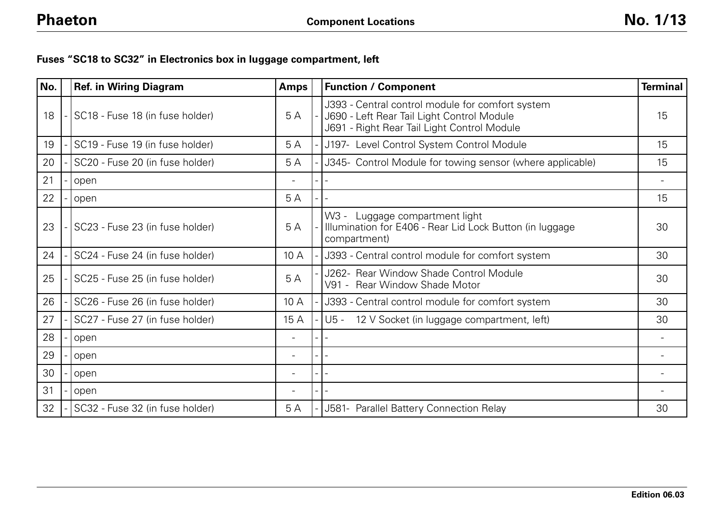# **Fuses "SC18 to SC32" in Electronics box in luggage compartment, left**

| No. | <b>Ref. in Wiring Diagram</b>   | <b>Amps</b> | <b>Function / Component</b>                                                                                                                   | <b>Terminal</b> |
|-----|---------------------------------|-------------|-----------------------------------------------------------------------------------------------------------------------------------------------|-----------------|
| 18  | SC18 - Fuse 18 (in fuse holder) | 5A          | J393 - Central control module for comfort system<br>J690 - Left Rear Tail Light Control Module<br>J691 - Right Rear Tail Light Control Module | 15              |
| 19  | SC19 - Fuse 19 (in fuse holder) | 5A          | J197- Level Control System Control Module                                                                                                     | 15              |
| 20  | SC20 - Fuse 20 (in fuse holder) | 5A          | J345- Control Module for towing sensor (where applicable)                                                                                     | 15              |
| 21  | open                            |             |                                                                                                                                               |                 |
| 22  | open                            | 5A          |                                                                                                                                               | 15              |
| 23  | SC23 - Fuse 23 (in fuse holder) | 5A          | W3 -<br>Luggage compartment light<br>Illumination for E406 - Rear Lid Lock Button (in luggage<br>compartment)                                 | 30              |
| 24  | SC24 - Fuse 24 (in fuse holder) | 10 A        | J393 - Central control module for comfort system                                                                                              | 30              |
| 25  | SC25 - Fuse 25 (in fuse holder) | 5A          | J262- Rear Window Shade Control Module<br>V91 - Rear Window Shade Motor                                                                       | 30              |
| 26  | SC26 - Fuse 26 (in fuse holder) | 10A         | J393 - Central control module for comfort system                                                                                              | 30              |
| 27  | SC27 - Fuse 27 (in fuse holder) | 15 A        | $U5 -$<br>12 V Socket (in luggage compartment, left)                                                                                          | 30              |
| 28  | open                            |             |                                                                                                                                               |                 |
| 29  | open                            |             |                                                                                                                                               |                 |
| 30  | open                            |             |                                                                                                                                               |                 |
| 31  | open                            |             |                                                                                                                                               |                 |
| 32  | SC32 - Fuse 32 (in fuse holder) | 5A          | J581- Parallel Battery Connection Relay                                                                                                       | 30              |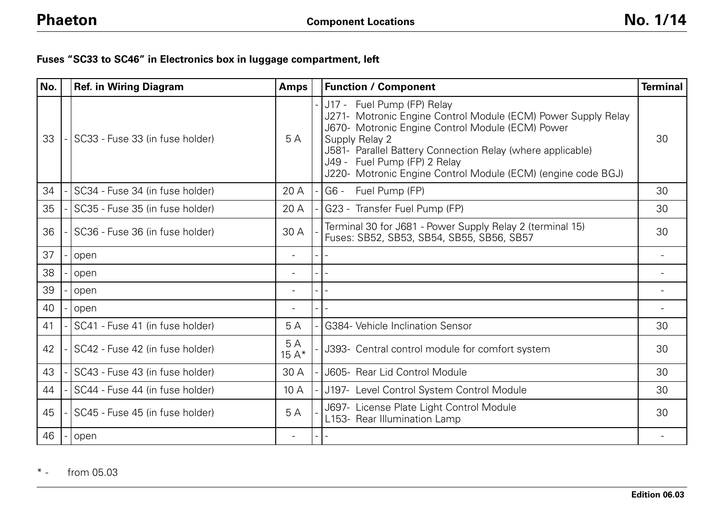## **Fuses "SC33 to SC46" in Electronics box in luggage compartment, left**

| No. | <b>Ref. in Wiring Diagram</b>   | <b>Amps</b>  | <b>Function / Component</b>                                                                                                                                                                                                                                                                                                     | <b>Terminal</b> |
|-----|---------------------------------|--------------|---------------------------------------------------------------------------------------------------------------------------------------------------------------------------------------------------------------------------------------------------------------------------------------------------------------------------------|-----------------|
| 33  | SC33 - Fuse 33 (in fuse holder) | 5 A          | J17 - Fuel Pump (FP) Relay<br>J271- Motronic Engine Control Module (ECM) Power Supply Relay<br>J670- Motronic Engine Control Module (ECM) Power<br>Supply Relay 2<br>J581- Parallel Battery Connection Relay (where applicable)<br>J49 - Fuel Pump (FP) 2 Relay<br>J220- Motronic Engine Control Module (ECM) (engine code BGJ) | 30              |
| 34  | SC34 - Fuse 34 (in fuse holder) | 20 A         | $G6 -$<br>Fuel Pump (FP)                                                                                                                                                                                                                                                                                                        | 30              |
| 35  | SC35 - Fuse 35 (in fuse holder) | 20 A         | G23 - Transfer Fuel Pump (FP)                                                                                                                                                                                                                                                                                                   | 30              |
| 36  | SC36 - Fuse 36 (in fuse holder) | 30 A         | Terminal 30 for J681 - Power Supply Relay 2 (terminal 15)<br>Fuses: SB52, SB53, SB54, SB55, SB56, SB57                                                                                                                                                                                                                          | 30              |
| 37  | open                            |              |                                                                                                                                                                                                                                                                                                                                 |                 |
| 38  | open                            |              |                                                                                                                                                                                                                                                                                                                                 |                 |
| 39  | open                            |              |                                                                                                                                                                                                                                                                                                                                 |                 |
| 40  | open                            |              |                                                                                                                                                                                                                                                                                                                                 |                 |
| 41  | SC41 - Fuse 41 (in fuse holder) | 5A           | G384- Vehicle Inclination Sensor                                                                                                                                                                                                                                                                                                | 30              |
| 42  | SC42 - Fuse 42 (in fuse holder) | 5A<br>$15A*$ | J393- Central control module for comfort system                                                                                                                                                                                                                                                                                 | 30              |
| 43  | SC43 - Fuse 43 (in fuse holder) | 30 A         | J605- Rear Lid Control Module                                                                                                                                                                                                                                                                                                   | 30              |
| 44  | SC44 - Fuse 44 (in fuse holder) | 10 A         | J197- Level Control System Control Module                                                                                                                                                                                                                                                                                       | 30              |
| 45  | SC45 - Fuse 45 (in fuse holder) | 5A           | J697- License Plate Light Control Module<br>L153- Rear Illumination Lamp                                                                                                                                                                                                                                                        | 30              |
| 46  | open                            |              |                                                                                                                                                                                                                                                                                                                                 |                 |

 $*$   $\overline{\phantom{0}}$ from 05.03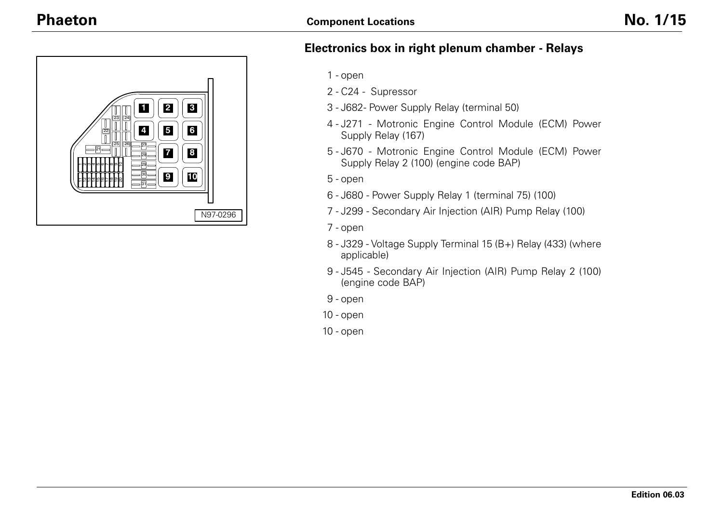

## **Electronics box in right plenum chamber - Relays**

- open
- C24 Supressor
- J682- Power Supply Relay (terminal 50)
- J271 Motronic Engine Control Module (ECM) Power Supply Relay (167)
- J670 Motronic Engine Control Module (ECM) Power Supply Relay 2 (100) (engine code BAP)
- open
- J680 Power Supply Relay 1 (terminal 75) (100)
- J299 Secondary Air Injection (AIR) Pump Relay (100)
- open
- J329 Voltage Supply Terminal 15 (B+) Relay (433) (where applicable)
- J545 Secondary Air Injection (AIR) Pump Relay 2 (100) (engine code BAP)
- open
- open
- open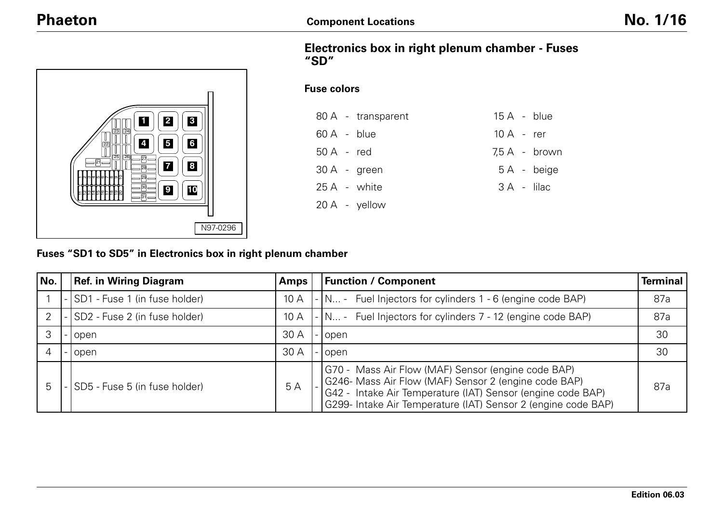

### **Electronics box in right plenum chamber - Fuses "SD"**

#### **Fuse colors**

|                | 80 A - transparent | $15A - blue$  |                 |
|----------------|--------------------|---------------|-----------------|
| $60 A - blue$  |                    | $10 A - r$ er |                 |
| $50A - red$    |                    |               | $7.5 A - brown$ |
| $30 A - green$ |                    |               | 5A - beige      |
| 25 A - white   |                    |               | 3 A - lilac     |
| 20 A - yellow  |                    |               |                 |

**Fuses "SD1 to SD5" in Electronics box in right plenum chamber**

| No. | <b>Ref. in Wiring Diagram</b>   | <b>Amps</b> | <b>Function / Component</b>                                                                                                                                                                                                                | <b>Terminal</b> |
|-----|---------------------------------|-------------|--------------------------------------------------------------------------------------------------------------------------------------------------------------------------------------------------------------------------------------------|-----------------|
|     | - SD1 - Fuse 1 (in fuse holder) | 10 A        | - N - Fuel Injectors for cylinders 1 - 6 (engine code BAP)                                                                                                                                                                                 | 87a             |
| 2   | SD2 - Fuse 2 (in fuse holder)   | 10A         | - N - Fuel Injectors for cylinders 7 - 12 (engine code BAP)                                                                                                                                                                                | 87a             |
|     | -lopen                          | 30 A        | open                                                                                                                                                                                                                                       | 30              |
|     | -lopen                          | 30A         | open                                                                                                                                                                                                                                       | 30              |
| 5   | SD5 - Fuse 5 (in fuse holder)   | 5 A         | G70 - Mass Air Flow (MAF) Sensor (engine code BAP)<br>G246- Mass Air Flow (MAF) Sensor 2 (engine code BAP)<br>G42 - Intake Air Temperature (IAT) Sensor (engine code BAP)<br>G299- Intake Air Temperature (IAT) Sensor 2 (engine code BAP) | 87a             |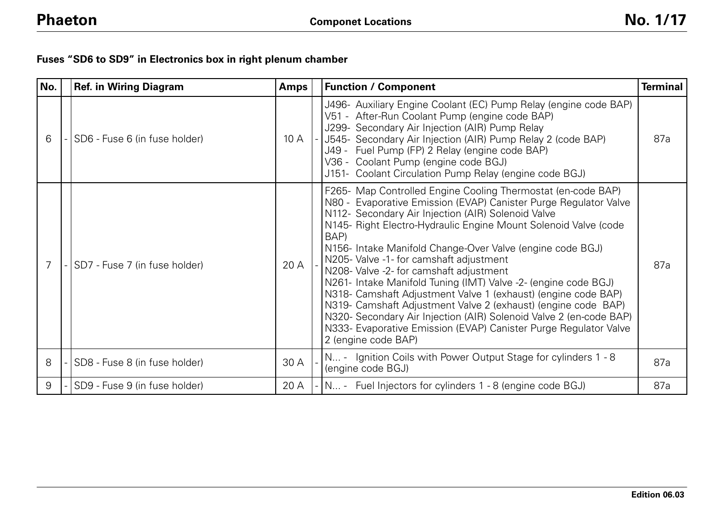|  |  | Fuses "SD6 to SD9" in Electronics box in right plenum chamber |  |  |  |
|--|--|---------------------------------------------------------------|--|--|--|
|--|--|---------------------------------------------------------------|--|--|--|

| No. | <b>Ref. in Wiring Diagram</b> | <b>Amps</b> | <b>Function / Component</b>                                                                                                                                                                                                                                                                                                                                                                                                                                                                                                                                                                                                                                                                                                                                                               | <b>Terminal</b> |
|-----|-------------------------------|-------------|-------------------------------------------------------------------------------------------------------------------------------------------------------------------------------------------------------------------------------------------------------------------------------------------------------------------------------------------------------------------------------------------------------------------------------------------------------------------------------------------------------------------------------------------------------------------------------------------------------------------------------------------------------------------------------------------------------------------------------------------------------------------------------------------|-----------------|
| 6   | SD6 - Fuse 6 (in fuse holder) | 10A         | J496- Auxiliary Engine Coolant (EC) Pump Relay (engine code BAP)<br>V51 - After-Run Coolant Pump (engine code BAP)<br>J299- Secondary Air Injection (AIR) Pump Relay<br>J545- Secondary Air Injection (AIR) Pump Relay 2 (code BAP)<br>J49 - Fuel Pump (FP) 2 Relay (engine code BAP)<br>V36 - Coolant Pump (engine code BGJ)<br>J151- Coolant Circulation Pump Relay (engine code BGJ)                                                                                                                                                                                                                                                                                                                                                                                                   | 87a             |
| 7   | SD7 - Fuse 7 (in fuse holder) | 20 A        | F265- Map Controlled Engine Cooling Thermostat (en-code BAP)<br>N80 - Evaporative Emission (EVAP) Canister Purge Regulator Valve<br>N112- Secondary Air Injection (AIR) Solenoid Valve<br>N145- Right Electro-Hydraulic Engine Mount Solenoid Valve (code<br>BAP)<br>N156- Intake Manifold Change-Over Valve (engine code BGJ)<br>N205- Valve -1- for camshaft adjustment<br>N208- Valve -2- for camshaft adjustment<br>N261- Intake Manifold Tuning (IMT) Valve -2- (engine code BGJ)<br>N318- Camshaft Adjustment Valve 1 (exhaust) (engine code BAP)<br>N319- Camshaft Adjustment Valve 2 (exhaust) (engine code BAP)<br>N320- Secondary Air Injection (AIR) Solenoid Valve 2 (en-code BAP)<br>N333- Evaporative Emission (EVAP) Canister Purge Regulator Valve<br>2 (engine code BAP) | 87a             |
| 8   | SD8 - Fuse 8 (in fuse holder) | 30 A        | N - Ignition Coils with Power Output Stage for cylinders 1 - 8<br>(engine code BGJ)                                                                                                                                                                                                                                                                                                                                                                                                                                                                                                                                                                                                                                                                                                       | 87a             |
| 9   | SD9 - Fuse 9 (in fuse holder) | 20 A        | - N - Fuel Injectors for cylinders 1 - 8 (engine code BGJ)                                                                                                                                                                                                                                                                                                                                                                                                                                                                                                                                                                                                                                                                                                                                | 87a             |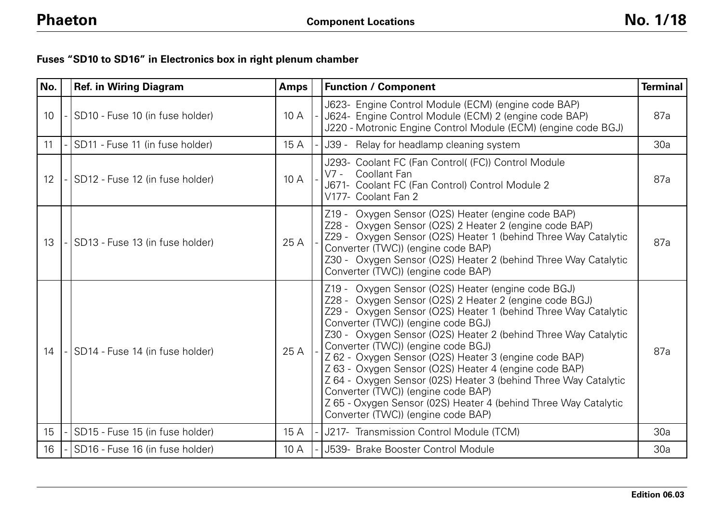## **Fuses "SD10 to SD16" in Electronics box in right plenum chamber**

| No.             | <b>Ref. in Wiring Diagram</b>   | <b>Amps</b> | <b>Function / Component</b>                                                                                                                                                                                                                                                                                                                                                                                                                                                                                                                                                                                                                                      | <b>Terminal</b> |
|-----------------|---------------------------------|-------------|------------------------------------------------------------------------------------------------------------------------------------------------------------------------------------------------------------------------------------------------------------------------------------------------------------------------------------------------------------------------------------------------------------------------------------------------------------------------------------------------------------------------------------------------------------------------------------------------------------------------------------------------------------------|-----------------|
| 10 <sup>°</sup> | SD10 - Fuse 10 (in fuse holder) | 10A         | J623- Engine Control Module (ECM) (engine code BAP)<br>J624- Engine Control Module (ECM) 2 (engine code BAP)<br>J220 - Motronic Engine Control Module (ECM) (engine code BGJ)                                                                                                                                                                                                                                                                                                                                                                                                                                                                                    | 87a             |
| 11              | SD11 - Fuse 11 (in fuse holder) | 15 A        | J39 - Relay for headlamp cleaning system                                                                                                                                                                                                                                                                                                                                                                                                                                                                                                                                                                                                                         | 30a             |
| 12              | SD12 - Fuse 12 (in fuse holder) | 10A         | J293- Coolant FC (Fan Control( (FC)) Control Module<br>$V7 -$<br>Coollant Fan<br>J671- Coolant FC (Fan Control) Control Module 2<br>V177- Coolant Fan 2                                                                                                                                                                                                                                                                                                                                                                                                                                                                                                          | 87a             |
| 13              | SD13 - Fuse 13 (in fuse holder) | 25 A        | Z19 - Oxygen Sensor (O2S) Heater (engine code BAP)<br>Z28 - Oxygen Sensor (O2S) 2 Heater 2 (engine code BAP)<br>Z29 - Oxygen Sensor (O2S) Heater 1 (behind Three Way Catalytic<br>Converter (TWC)) (engine code BAP)<br>Z30 - Oxygen Sensor (O2S) Heater 2 (behind Three Way Catalytic<br>Converter (TWC)) (engine code BAP)                                                                                                                                                                                                                                                                                                                                     | 87a             |
| 14              | SD14 - Fuse 14 (in fuse holder) | 25 A        | Z19 - Oxygen Sensor (O2S) Heater (engine code BGJ)<br>Z28 - Oxygen Sensor (O2S) 2 Heater 2 (engine code BGJ)<br>Z29 - Oxygen Sensor (O2S) Heater 1 (behind Three Way Catalytic<br>Converter (TWC)) (engine code BGJ)<br>Z30 - Oxygen Sensor (O2S) Heater 2 (behind Three Way Catalytic<br>Converter (TWC)) (engine code BGJ)<br>Z 62 - Oxygen Sensor (O2S) Heater 3 (engine code BAP)<br>Z 63 - Oxygen Sensor (O2S) Heater 4 (engine code BAP)<br>Z 64 - Oxygen Sensor (02S) Heater 3 (behind Three Way Catalytic<br>Converter (TWC)) (engine code BAP)<br>Z 65 - Oxygen Sensor (02S) Heater 4 (behind Three Way Catalytic<br>Converter (TWC)) (engine code BAP) | 87a             |
| 15              | SD15 - Fuse 15 (in fuse holder) | 15 A        | J217- Transmission Control Module (TCM)                                                                                                                                                                                                                                                                                                                                                                                                                                                                                                                                                                                                                          | 30a             |
| 16              | SD16 - Fuse 16 (in fuse holder) | 10A         | J539- Brake Booster Control Module                                                                                                                                                                                                                                                                                                                                                                                                                                                                                                                                                                                                                               | 30a             |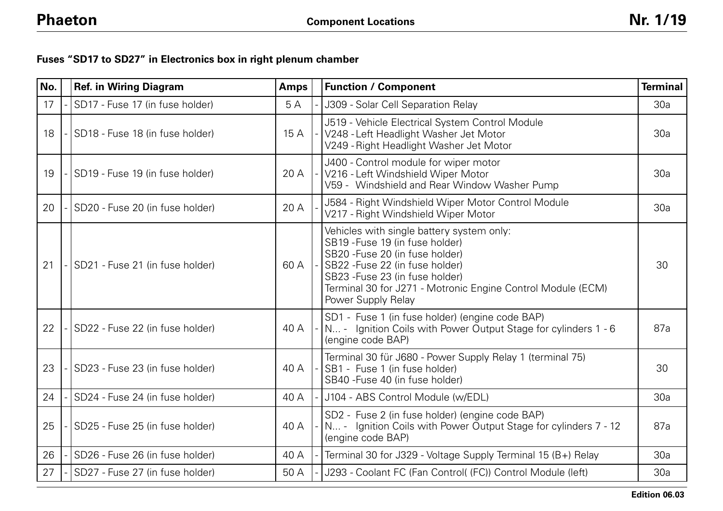# **Fuses "SD17 to SD27" in Electronics box in right plenum chamber**

| No. | <b>Ref. in Wiring Diagram</b>   | <b>Amps</b> | <b>Function / Component</b>                                                                                                                                                                                                                                                | <b>Terminal</b> |
|-----|---------------------------------|-------------|----------------------------------------------------------------------------------------------------------------------------------------------------------------------------------------------------------------------------------------------------------------------------|-----------------|
| 17  | SD17 - Fuse 17 (in fuse holder) | 5A          | J309 - Solar Cell Separation Relay                                                                                                                                                                                                                                         | 30a             |
| 18  | SD18 - Fuse 18 (in fuse holder) | 15 A        | J519 - Vehicle Electrical System Control Module<br>V248 - Left Headlight Washer Jet Motor<br>V249 - Right Headlight Washer Jet Motor                                                                                                                                       | 30a             |
| 19  | SD19 - Fuse 19 (in fuse holder) | 20 A        | J400 - Control module for wiper motor<br>V216 - Left Windshield Wiper Motor<br>V59 - Windshield and Rear Window Washer Pump                                                                                                                                                | 30a             |
| 20  | SD20 - Fuse 20 (in fuse holder) | 20 A        | J584 - Right Windshield Wiper Motor Control Module<br>V217 - Right Windshield Wiper Motor                                                                                                                                                                                  | 30a             |
| 21  | SD21 - Fuse 21 (in fuse holder) | 60 A        | Vehicles with single battery system only:<br>SB19 - Fuse 19 (in fuse holder)<br>SB20 - Fuse 20 (in fuse holder)<br>SB22 - Fuse 22 (in fuse holder)<br>SB23 - Fuse 23 (in fuse holder)<br>Terminal 30 for J271 - Motronic Engine Control Module (ECM)<br>Power Supply Relay | 30              |
| 22  | SD22 - Fuse 22 (in fuse holder) | 40 A        | SD1 - Fuse 1 (in fuse holder) (engine code BAP)<br>N - Ignition Coils with Power Output Stage for cylinders 1 - 6<br>(engine code BAP)                                                                                                                                     | 87a             |
| 23  | SD23 - Fuse 23 (in fuse holder) | 40 A        | Terminal 30 für J680 - Power Supply Relay 1 (terminal 75)<br>SB1 - Fuse 1 (in fuse holder)<br>SB40 - Fuse 40 (in fuse holder)                                                                                                                                              | 30              |
| 24  | SD24 - Fuse 24 (in fuse holder) | 40 A        | J104 - ABS Control Module (w/EDL)                                                                                                                                                                                                                                          | 30a             |
| 25  | SD25 - Fuse 25 (in fuse holder) | 40 A        | SD2 - Fuse 2 (in fuse holder) (engine code BAP)<br>N - Ignition Coils with Power Output Stage for cylinders 7 - 12<br>(engine code BAP)                                                                                                                                    | 87a             |
| 26  | SD26 - Fuse 26 (in fuse holder) | 40 A        | Terminal 30 for J329 - Voltage Supply Terminal 15 (B+) Relay                                                                                                                                                                                                               | 30a             |
| 27  | SD27 - Fuse 27 (in fuse holder) | 50 A        | J293 - Coolant FC (Fan Control( (FC)) Control Module (left)                                                                                                                                                                                                                | 30a             |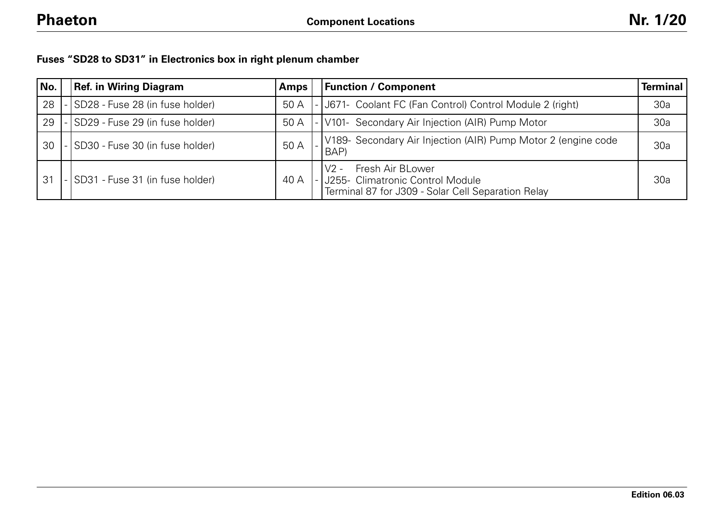| Fuses "SD28 to SD31" in Electronics box in right plenum chamber |  |  |  |  |  |  |  |  |
|-----------------------------------------------------------------|--|--|--|--|--|--|--|--|
|-----------------------------------------------------------------|--|--|--|--|--|--|--|--|

| No. | <b>Ref. in Wiring Diagram</b>   | Amps | <b>Function / Component</b>                                                                                                | Terminal |
|-----|---------------------------------|------|----------------------------------------------------------------------------------------------------------------------------|----------|
| 28  | SD28 - Fuse 28 (in fuse holder) | 50 A | - J671- Coolant FC (Fan Control) Control Module 2 (right)                                                                  | 30a      |
| 29  | SD29 - Fuse 29 (in fuse holder) | 50 A | -V101- Secondary Air Injection (AIR) Pump Motor                                                                            | 30a      |
| 30  | SD30 - Fuse 30 (in fuse holder) | 50 A | V189- Secondary Air Injection (AIR) Pump Motor 2 (engine code<br>BAP)                                                      | 30a      |
| 31  | SD31 - Fuse 31 (in fuse holder) | 40 A | Fresh Air BLower<br>$V2 -$<br> - J255- Climatronic Control Module<br> - Terminal 87 for J309 - Solar Cell Separation Relay | 30a      |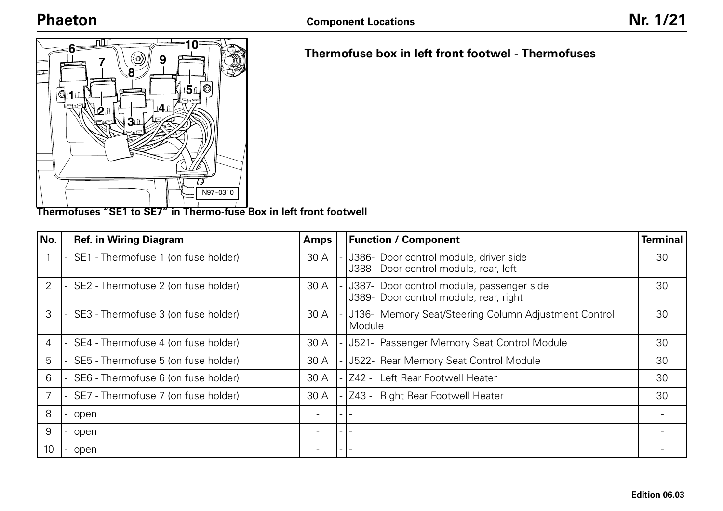

**Thermofuses "SE1 to SE7" in Thermo-fuse Box in left front footwell**

| No.            | <b>Ref. in Wiring Diagram</b>       | <b>Amps</b>              |                          | <b>Function / Component</b>                                                         | <b>Terminal</b> |
|----------------|-------------------------------------|--------------------------|--------------------------|-------------------------------------------------------------------------------------|-----------------|
|                | SE1 - Thermofuse 1 (on fuse holder) | 30 A                     |                          | J386- Door control module, driver side<br>J388- Door control module, rear, left     | 30              |
| 2              | SE2 - Thermofuse 2 (on fuse holder) | 30 A                     |                          | J387- Door control module, passenger side<br>J389- Door control module, rear, right | 30              |
| 3              | SE3 - Thermofuse 3 (on fuse holder) | 30 A                     |                          | J136- Memory Seat/Steering Column Adjustment Control<br>Module                      | 30              |
| $\overline{4}$ | SE4 - Thermofuse 4 (on fuse holder) | 30 A                     |                          | J521- Passenger Memory Seat Control Module                                          | 30              |
| 5              | SE5 - Thermofuse 5 (on fuse holder) | 30 A                     |                          | J522- Rear Memory Seat Control Module                                               | 30              |
| 6              | SE6 - Thermofuse 6 (on fuse holder) | 30 A                     |                          | Z42 - Left Rear Footwell Heater                                                     | 30              |
|                | SE7 - Thermofuse 7 (on fuse holder) | 30 A                     |                          | Z43 - Right Rear Footwell Heater                                                    | 30              |
| 8              | open                                | $\overline{\phantom{0}}$ | $\overline{\phantom{0}}$ |                                                                                     |                 |
| 9              | open                                | $\overline{\phantom{0}}$ | $\overline{\phantom{0}}$ |                                                                                     |                 |
| 10             | open                                |                          | $-1$                     |                                                                                     |                 |

## **Thermofuse box in left front footwel - Thermofuses**